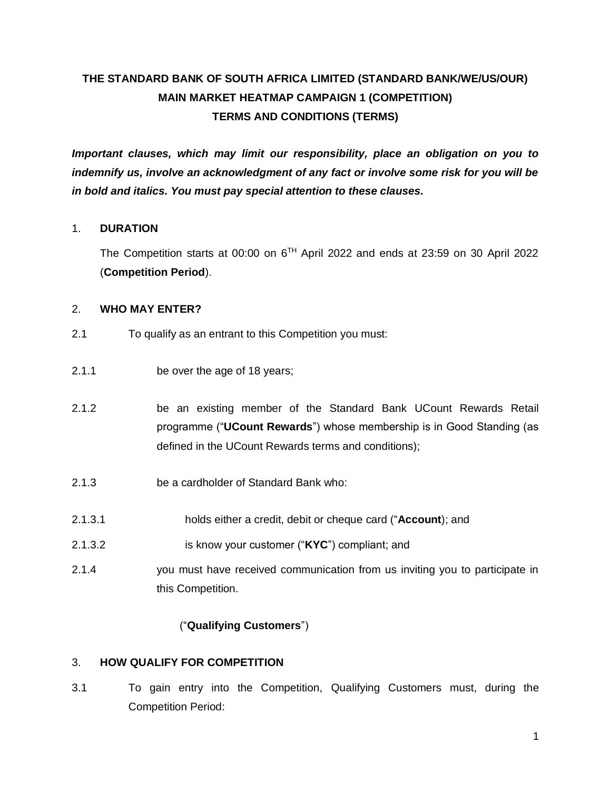# **THE STANDARD BANK OF SOUTH AFRICA LIMITED (STANDARD BANK/WE/US/OUR) MAIN MARKET HEATMAP CAMPAIGN 1 (COMPETITION) TERMS AND CONDITIONS (TERMS)**

*Important clauses, which may limit our responsibility, place an obligation on you to indemnify us, involve an acknowledgment of any fact or involve some risk for you will be in bold and italics. You must pay special attention to these clauses.* 

# 1. **DURATION**

The Competition starts at 00:00 on  $6^{TH}$  April 2022 and ends at 23:59 on 30 April 2022 (**Competition Period**).

### 2. **WHO MAY ENTER?**

- 2.1 To qualify as an entrant to this Competition you must:
- 2.1.1 be over the age of 18 years;
- 2.1.2 be an existing member of the Standard Bank UCount Rewards Retail programme ("**UCount Rewards**") whose membership is in Good Standing (as defined in the UCount Rewards terms and conditions);
- 2.1.3 be a cardholder of Standard Bank who:
- 2.1.3.1 holds either a credit, debit or cheque card ("**Account**); and
- 2.1.3.2 is know your customer ("**KYC**") compliant; and
- 2.1.4 you must have received communication from us inviting you to participate in this Competition.

# ("**Qualifying Customers**")

# 3. **HOW QUALIFY FOR COMPETITION**

3.1 To gain entry into the Competition, Qualifying Customers must, during the Competition Period: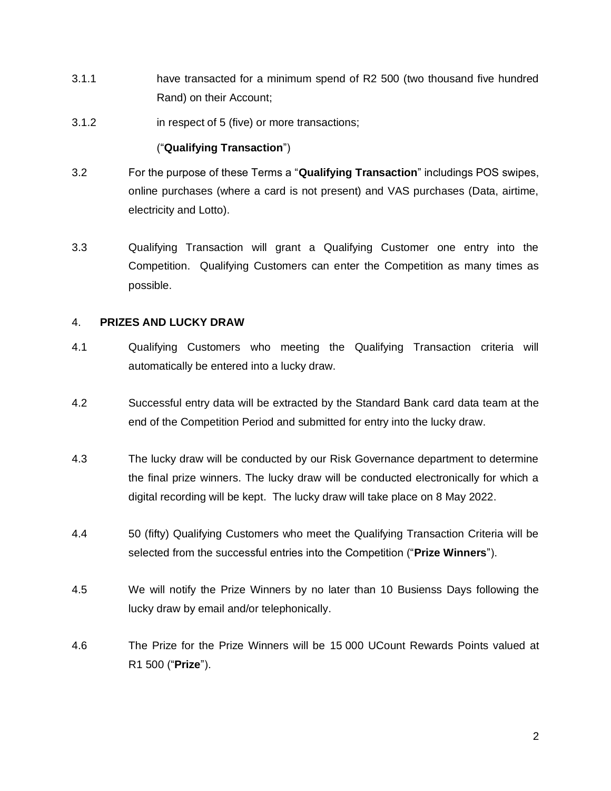- 3.1.1 have transacted for a minimum spend of R2 500 (two thousand five hundred Rand) on their Account;
- 3.1.2 in respect of 5 (five) or more transactions;

#### ("**Qualifying Transaction**")

- 3.2 For the purpose of these Terms a "**Qualifying Transaction**" includings POS swipes, online purchases (where a card is not present) and VAS purchases (Data, airtime, electricity and Lotto).
- 3.3 Qualifying Transaction will grant a Qualifying Customer one entry into the Competition. Qualifying Customers can enter the Competition as many times as possible.

#### 4. **PRIZES AND LUCKY DRAW**

- 4.1 Qualifying Customers who meeting the Qualifying Transaction criteria will automatically be entered into a lucky draw.
- 4.2 Successful entry data will be extracted by the Standard Bank card data team at the end of the Competition Period and submitted for entry into the lucky draw.
- 4.3 The lucky draw will be conducted by our Risk Governance department to determine the final prize winners. The lucky draw will be conducted electronically for which a digital recording will be kept. The lucky draw will take place on 8 May 2022.
- 4.4 50 (fifty) Qualifying Customers who meet the Qualifying Transaction Criteria will be selected from the successful entries into the Competition ("**Prize Winners**").
- 4.5 We will notify the Prize Winners by no later than 10 Busienss Days following the lucky draw by email and/or telephonically.
- 4.6 The Prize for the Prize Winners will be 15 000 UCount Rewards Points valued at R1 500 ("**Prize**").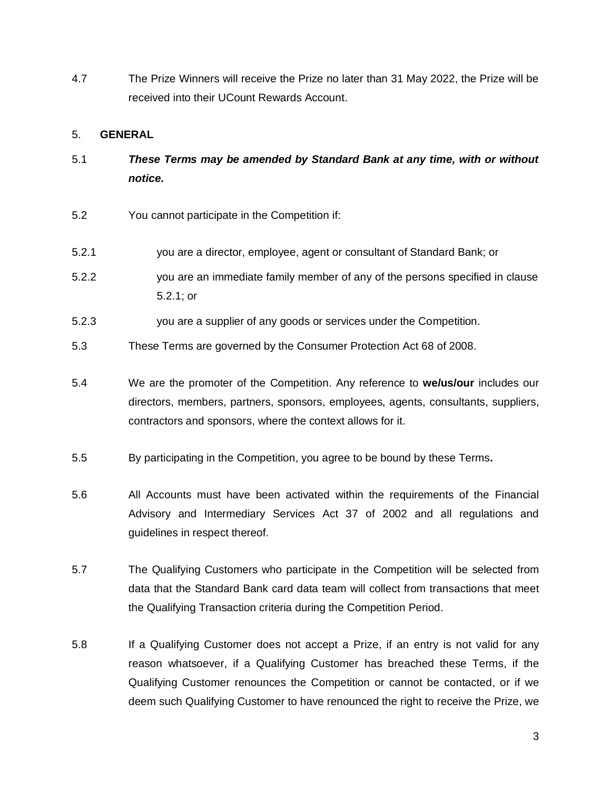4.7 The Prize Winners will receive the Prize no later than 31 May 2022, the Prize will be received into their UCount Rewards Account.

### 5. **GENERAL**

- 5.1 *These Terms may be amended by Standard Bank at any time, with or without notice.*
- 5.2 You cannot participate in the Competition if:
- 5.2.1 you are a director, employee, agent or consultant of Standard Bank; or
- 5.2.2 you are an immediate family member of any of the persons specified in clause 5.2.1; or
- 5.2.3 you are a supplier of any goods or services under the Competition.
- 5.3 These Terms are governed by the Consumer Protection Act 68 of 2008.
- 5.4 We are the promoter of the Competition. Any reference to **we/us/our** includes our directors, members, partners, sponsors, employees, agents, consultants, suppliers, contractors and sponsors, where the context allows for it.
- 5.5 By participating in the Competition, you agree to be bound by these Terms**.**
- 5.6 All Accounts must have been activated within the requirements of the Financial Advisory and Intermediary Services Act 37 of 2002 and all regulations and guidelines in respect thereof.
- 5.7 The Qualifying Customers who participate in the Competition will be selected from data that the Standard Bank card data team will collect from transactions that meet the Qualifying Transaction criteria during the Competition Period.
- 5.8 If a Qualifying Customer does not accept a Prize, if an entry is not valid for any reason whatsoever, if a Qualifying Customer has breached these Terms, if the Qualifying Customer renounces the Competition or cannot be contacted, or if we deem such Qualifying Customer to have renounced the right to receive the Prize, we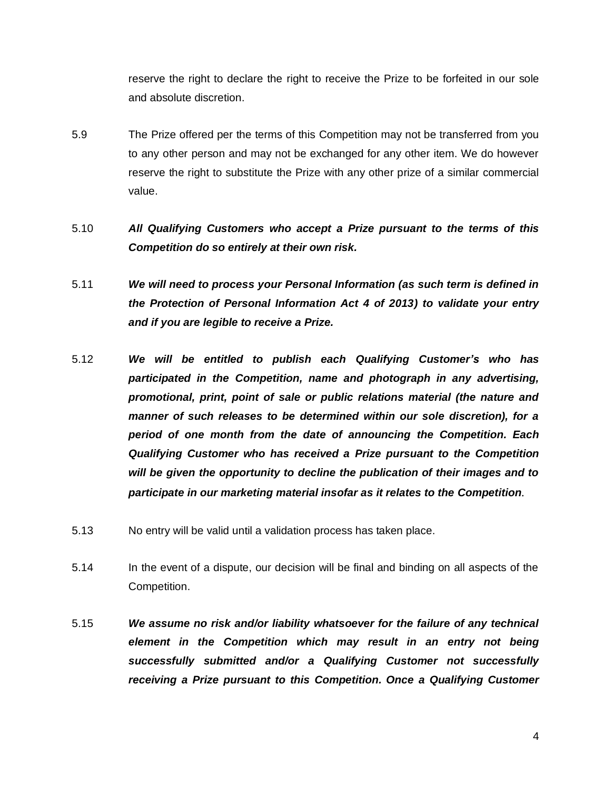reserve the right to declare the right to receive the Prize to be forfeited in our sole and absolute discretion.

- 5.9 The Prize offered per the terms of this Competition may not be transferred from you to any other person and may not be exchanged for any other item. We do however reserve the right to substitute the Prize with any other prize of a similar commercial value.
- 5.10 *All Qualifying Customers who accept a Prize pursuant to the terms of this Competition do so entirely at their own risk.*
- 5.11 *We will need to process your Personal Information (as such term is defined in the Protection of Personal Information Act 4 of 2013) to validate your entry and if you are legible to receive a Prize.*
- 5.12 *We will be entitled to publish each Qualifying Customer's who has participated in the Competition, name and photograph in any advertising, promotional, print, point of sale or public relations material (the nature and manner of such releases to be determined within our sole discretion), for a period of one month from the date of announcing the Competition. Each Qualifying Customer who has received a Prize pursuant to the Competition will be given the opportunity to decline the publication of their images and to participate in our marketing material insofar as it relates to the Competition.*
- 5.13 No entry will be valid until a validation process has taken place.
- 5.14 In the event of a dispute, our decision will be final and binding on all aspects of the Competition.
- 5.15 *We assume no risk and/or liability whatsoever for the failure of any technical element in the Competition which may result in an entry not being successfully submitted and/or a Qualifying Customer not successfully receiving a Prize pursuant to this Competition. Once a Qualifying Customer*